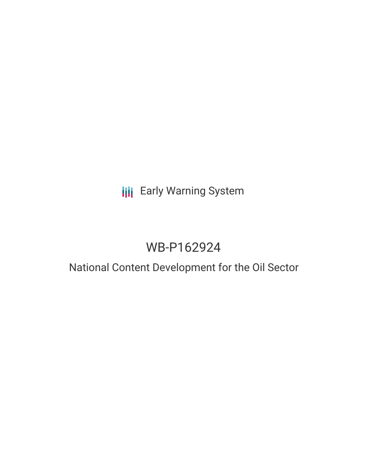# **III** Early Warning System

# WB-P162924

### National Content Development for the Oil Sector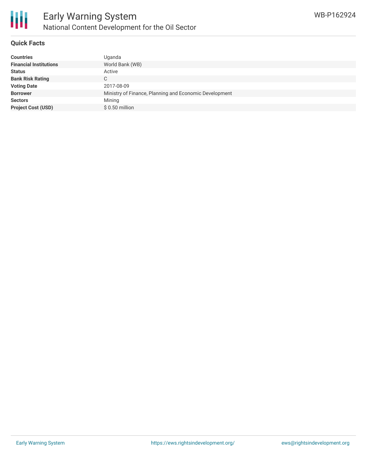

#### **Quick Facts**

| <b>Countries</b>              | Uganda                                                 |
|-------------------------------|--------------------------------------------------------|
| <b>Financial Institutions</b> | World Bank (WB)                                        |
| <b>Status</b>                 | Active                                                 |
| <b>Bank Risk Rating</b>       | C                                                      |
| <b>Voting Date</b>            | 2017-08-09                                             |
| <b>Borrower</b>               | Ministry of Finance, Planning and Economic Development |
| <b>Sectors</b>                | Mining                                                 |
| <b>Project Cost (USD)</b>     | $$0.50$ million                                        |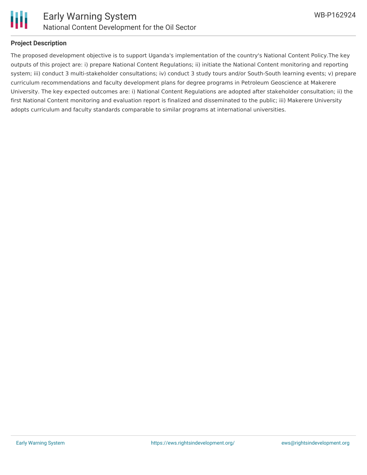



#### **Project Description**

The proposed development objective is to support Uganda's implementation of the country's National Content Policy.The key outputs of this project are: i) prepare National Content Regulations; ii) initiate the National Content monitoring and reporting system; iii) conduct 3 multi-stakeholder consultations; iv) conduct 3 study tours and/or South-South learning events; v) prepare curriculum recommendations and faculty development plans for degree programs in Petroleum Geoscience at Makerere University. The key expected outcomes are: i) National Content Regulations are adopted after stakeholder consultation; ii) the first National Content monitoring and evaluation report is finalized and disseminated to the public; iii) Makerere University adopts curriculum and faculty standards comparable to similar programs at international universities.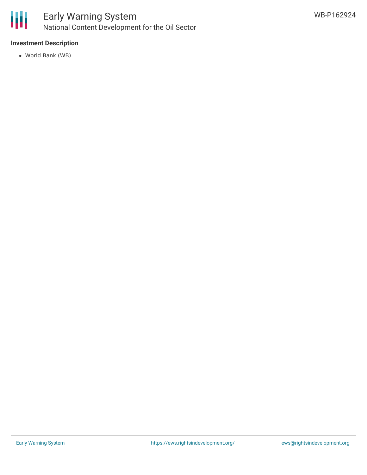

#### **Investment Description**

World Bank (WB)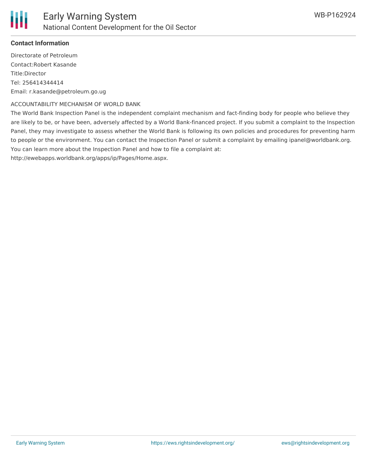

#### **Contact Information**

Directorate of Petroleum Contact:Robert Kasande Title:Director Tel: 256414344414 Email: r.kasande@petroleum.go.ug

#### ACCOUNTABILITY MECHANISM OF WORLD BANK

The World Bank Inspection Panel is the independent complaint mechanism and fact-finding body for people who believe they are likely to be, or have been, adversely affected by a World Bank-financed project. If you submit a complaint to the Inspection Panel, they may investigate to assess whether the World Bank is following its own policies and procedures for preventing harm to people or the environment. You can contact the Inspection Panel or submit a complaint by emailing ipanel@worldbank.org. You can learn more about the Inspection Panel and how to file a complaint at:

http://ewebapps.worldbank.org/apps/ip/Pages/Home.aspx.